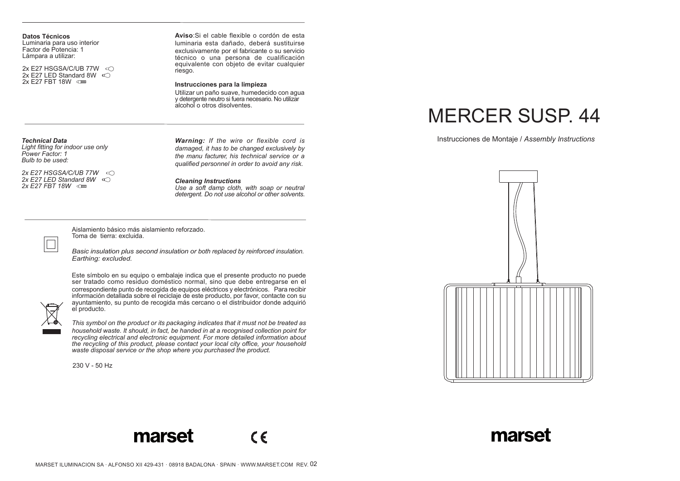**Datos Técnicos** Luminaria para uso interior Factor de Potencia: 1 Lámpara a utilizar:

2x E27 HSGSA/C/UB 77W 2x E27 LED Standard 8W  $\infty$ 2x F27 FRT 18W **QD** 

**Aviso**:Si el cable flexible o cordón de esta luminaria esta dañado, deberá sustituirse exclusivamente por el fabricante o su servicio técnico o una persona de cualificación equivalente con objeto de evitar cualquier riesgo.

#### **Instrucciones para la limpieza**

Utilizar un paño suave, humedecido con agua y detergente neutro si fuera necesario. No utilizar alcohol o otros disolventes.

## *Technical Data*

*Light fitting for indoor use only Power Factor: 1 Bulb to be used:* 

*2x E27 HSGSA/C/UB 77W 2x E27 LED Standard 8W 2x E27 FBT 18W*

*Warning: If the wire or flexible cord is damaged, it has to be changed exclusively by the manu facturer, his technical service or a qualified personnel in order to avoid any risk.*

*Cleaning Instructions*

*Use a soft damp cloth, with soap or neutral detergent. Do not use alcohol or other solvents.*

Aislamiento básico más aislamiento reforzado. Toma de tierra: excluida.

*Basic insulation plus second insulation or both replaced by reinforced insulation. Earthing: excluded.*

Este símbolo en su equipo o embalaje indica que el presente producto no puede ser tratado como residuo doméstico normal, sino que debe entregarse en el correspondiente punto de recogida de equipos eléctricos y electrónicos. Para recibir<br>información detallada sobre el reciclaje de este producto, por favor, contacte con su ayuntamiento, su punto de recogida más cercano o el distribuidor donde adquirió el producto.

*This symbol on the product or its packaging indicates that it must not be treated as household waste. It should, in fact, be handed in at a recognised collection point for recycling electrical and electronic equipment. For more detailed information about the recycling of this product, please contact your local city office, your household waste disposal service or the shop where you purchased the product.*

230 V - 50 Hz

# MERCER SUSP. 44

Instrucciones de Montaje / *Assembly Instructions*